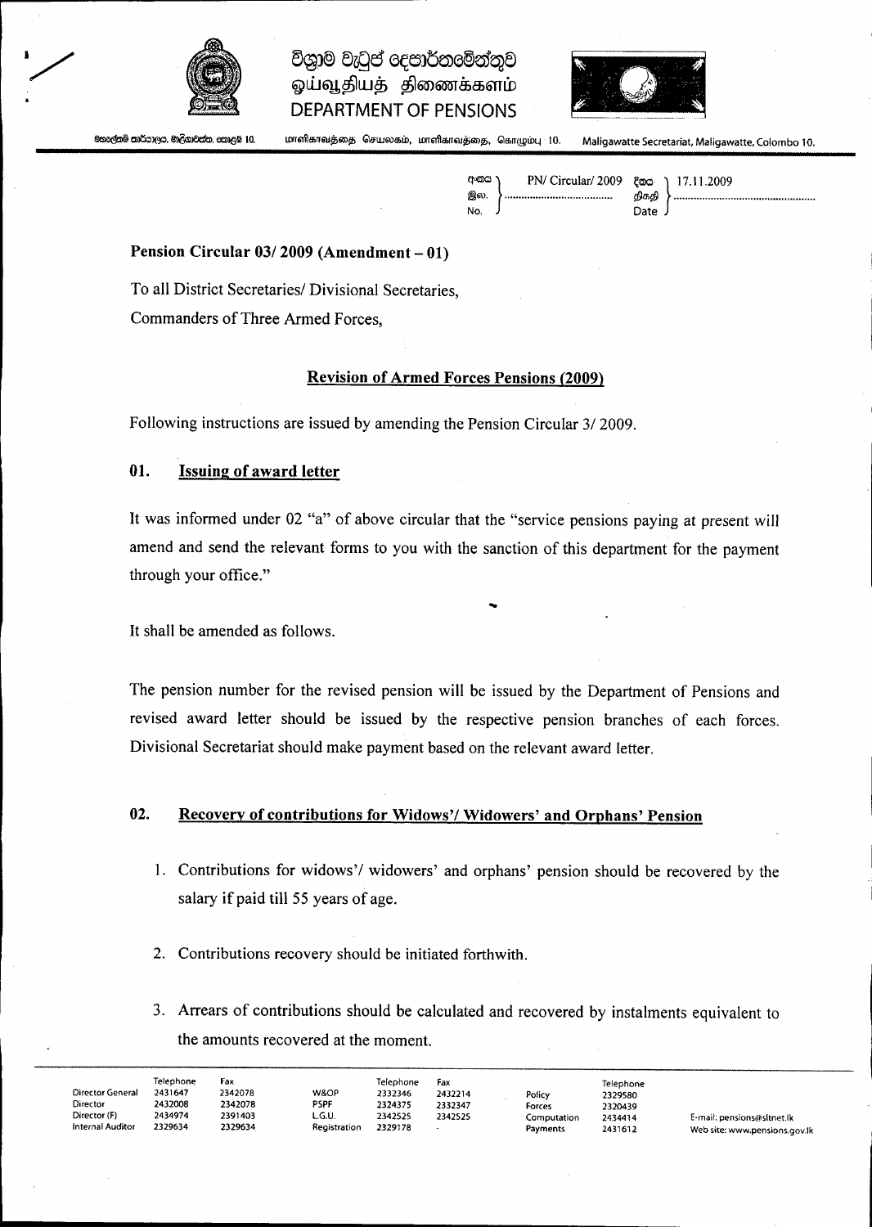

# විශාම වැටුප් eදපාර්තමේන්තුව ஓய்வூதியத் திணைக்களம் **DEPARTMENT OF PENSIONS**



මහලේකම් කාර්යාලය. මාලිගාවත්ත, කොළඹ 10.

lOfr61llaifT6IJib6ID~GIfUJoua;w. L0061Ila;~6IJ~6ID\$!i.G/!o~@WLl 10. Maligawatte Secretariat, Maligawatte, Colombo 10.

| අංකය \ | PN/ Circular/ 2009 ξας ) 17.11.2009 |        |  |
|--------|-------------------------------------|--------|--|
| இல.    |                                     | திகதி  |  |
| No.    |                                     | Date J |  |
|        |                                     |        |  |

#### **Pension Circular 03/2009 (Amendment - 01)**

To all District Secretaries/ Divisional Secretaries, Commanders of Three Armed Forces,

#### **Revision of Armed Forces Pensions (2009)**

Following instructions are issued by amending the Pension Circular 3/2009.

#### **01. Issuing of award letter**

It was informed under 02 "a" of above circular that the "service pensions paying at present will amend and send the relevant forms to you with the sanction of this department for the payment through your office."

...

It shall be amended as follows.

The pension number for the revised pension will be issued by the Department of Pensions and revised award letter should be issued by the respective pension branches of each forces. Divisional Secretariat should make payment based on the relevant award letter.

## **02. Recovery of contributions for Widows'/ Widowers' and Orphans' Pension**

- 1. Contributions for widows'/ widowers' and orphans' pension should be recovered by the salary if paid till 55 years of age.
- 2. Contributions recovery should be initiated forthwith.
- 3. Arrears of contributions should be calculated and recovered by instalments equivalent to the amounts recovered at the moment.

| Director General<br>Director<br>Director (F)<br>Internal Auditor | Telephone<br>2431647<br>2432008<br>2434974<br>2329634 | Fax<br>2342078<br>2342078<br>2391403<br>2329634 | W&OP<br>PSPF<br>L.G.U.<br>Registration | Telephone<br>2332346<br>2324375<br>2342525<br>2329178 | Fax<br>2432214<br>2332347<br>2342525 | Policy<br>Forces<br>Computation<br>Payments | Telephone<br>2329580<br>2320439<br>2434414<br>2431612 | E-mail: pensions@sitnet.lk<br>Web site: www.pensions.gov.l |
|------------------------------------------------------------------|-------------------------------------------------------|-------------------------------------------------|----------------------------------------|-------------------------------------------------------|--------------------------------------|---------------------------------------------|-------------------------------------------------------|------------------------------------------------------------|
|------------------------------------------------------------------|-------------------------------------------------------|-------------------------------------------------|----------------------------------------|-------------------------------------------------------|--------------------------------------|---------------------------------------------|-------------------------------------------------------|------------------------------------------------------------|